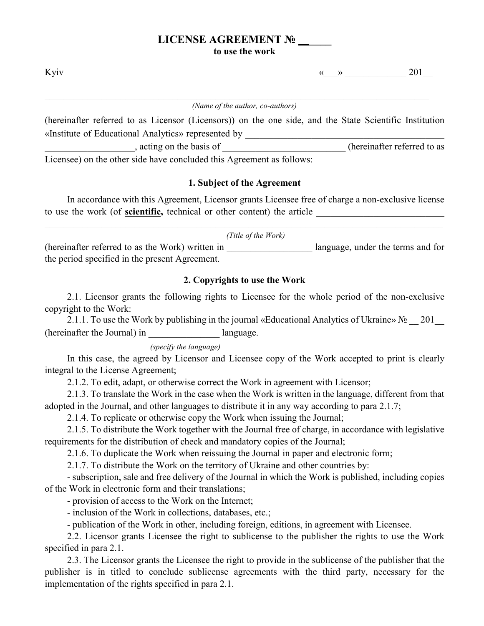## **LICENSE AGREEMENT № \_\_\_\_ to use the work**

Kyiv  $\ll$   $\gg$  201

*(Name of the author, co-authors)*

|      |  |  | (hereinafter referred to as Licensor (Licensors)) on the one side, and the State Scientific Institution |  |  |  |  |                             |
|------|--|--|---------------------------------------------------------------------------------------------------------|--|--|--|--|-----------------------------|
|      |  |  | «Institute of Educational Analytics» represented by                                                     |  |  |  |  |                             |
|      |  |  | acting on the basis of                                                                                  |  |  |  |  | (hereinafter referred to as |
| $ -$ |  |  |                                                                                                         |  |  |  |  |                             |

Licensee) on the other side have concluded this Agreement as follows:

### **1. Subject of the Agreement**

In accordance with this Agreement, Licensor grants Licensee free of charge а non-exclusive license to use the work (of **<u>scientific</u>**, technical or other content) the article

| (Title of the Work)                              |                                   |
|--------------------------------------------------|-----------------------------------|
| (hereinafter referred to as the Work) written in | language, under the terms and for |
| the period specified in the present Agreement.   |                                   |

# **2. Copyrights to use the Work**

2.1. Licensor grants the following rights to Licensee for the whole period of the non-exclusive copyright to the Work:

2.1.1. To use the Work by publishing in the journal «Educational Analytics of Ukraine»  $\mathbb{N}_2$   $201$ (hereinafter the Journal) in \_\_\_\_\_\_\_\_\_\_\_\_\_\_\_ language.

## *(specify the language)*

In this case, the agreed by Licensor and Licensee copy of the Work accepted to print is clearly integral to the License Agreement;

2.1.2. To edit, adapt, or otherwise correct the Work in agreement with Licensor;

2.1.3. To translate the Work in the case when the Work is written in the language, different from that adopted in the Journal, and other languages to distribute it in any way according to para 2.1.7;

2.1.4. To replicate or otherwise copy the Work when issuing the Journal;

2.1.5. To distribute the Work together with the Journal free of charge, in accordance with legislative requirements for the distribution of check and mandatory copies of the Journal;

2.1.6. To duplicate the Work when reissuing the Journal in paper and electronic form;

2.1.7. To distribute the Work on the territory of Ukraine and other countries by:

- subscription, sale and free delivery of the Journal in which the Work is published, including copies of the Work in electronic form and their translations;

- provision of access to the Work on the Internet;

- inclusion of the Work in collections, databases, etc.;

- publication of the Work in other, including foreign, editions, in agreement with Licensee.

2.2. Licensor grants Licensee the right to sublicense to the publisher the rights to use the Work specified in para 2.1.

2.3. The Licensor grants the Licensee the right to provide in the sublicense of the publisher that the publisher is in titled to conclude sublicense agreements with the third party, necessary for the implementation of the rights specified in para 2.1.